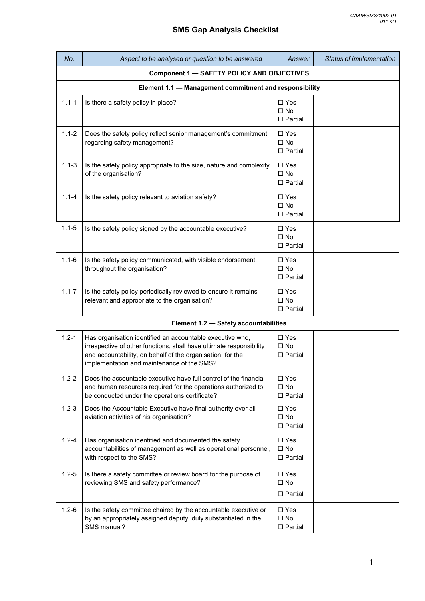| No.       | Aspect to be analysed or question to be answered                                                                                                                                                                                             | Answer                                             | Status of implementation |
|-----------|----------------------------------------------------------------------------------------------------------------------------------------------------------------------------------------------------------------------------------------------|----------------------------------------------------|--------------------------|
|           | <b>Component 1 - SAFETY POLICY AND OBJECTIVES</b>                                                                                                                                                                                            |                                                    |                          |
|           | Element 1.1 - Management commitment and responsibility                                                                                                                                                                                       |                                                    |                          |
| $1.1 - 1$ | Is there a safety policy in place?                                                                                                                                                                                                           | $\Box$ Yes<br>$\Box$ No<br>$\square$ Partial       |                          |
| $1.1 - 2$ | Does the safety policy reflect senior management's commitment<br>regarding safety management?                                                                                                                                                | $\Box$ Yes<br>$\Box$ No<br>$\Box$ Partial          |                          |
| $1.1 - 3$ | Is the safety policy appropriate to the size, nature and complexity<br>of the organisation?                                                                                                                                                  | $\square$ Yes<br>$\square$ No<br>$\Box$ Partial    |                          |
| $1.1 - 4$ | Is the safety policy relevant to aviation safety?                                                                                                                                                                                            | $\Box$ Yes<br>$\Box$ No<br>$\Box$ Partial          |                          |
| $1.1 - 5$ | Is the safety policy signed by the accountable executive?                                                                                                                                                                                    | $\Box$ Yes<br>$\Box$ No<br>$\square$ Partial       |                          |
| $1.1 - 6$ | Is the safety policy communicated, with visible endorsement,<br>throughout the organisation?                                                                                                                                                 | $\Box$ Yes<br>$\square$ No<br>$\Box$ Partial       |                          |
| $1.1 - 7$ | Is the safety policy periodically reviewed to ensure it remains<br>relevant and appropriate to the organisation?                                                                                                                             | $\square$ Yes<br>$\Box$ No<br>$\Box$ Partial       |                          |
|           | Element 1.2 - Safety accountabilities                                                                                                                                                                                                        |                                                    |                          |
| $1.2 - 1$ | Has organisation identified an accountable executive who,<br>irrespective of other functions, shall have ultimate responsibility<br>and accountability, on behalf of the organisation, for the<br>implementation and maintenance of the SMS? | $\square$ Yes<br>$\square$ No<br>$\Box$ Partial    |                          |
| $1.2 - 2$ | Does the accountable executive have full control of the financial<br>and human resources required for the operations authorized to<br>be conducted under the operations certificate?                                                         | $\square$ Yes<br>$\square$ No<br>$\square$ Partial |                          |
| $1.2 - 3$ | Does the Accountable Executive have final authority over all<br>aviation activities of his organisation?                                                                                                                                     | $\Box$ Yes<br>$\square$ No<br>$\Box$ Partial       |                          |
| $1.2 - 4$ | Has organisation identified and documented the safety<br>accountabilities of management as well as operational personnel,<br>with respect to the SMS?                                                                                        | $\square$ Yes<br>$\square$ No<br>$\Box$ Partial    |                          |
| $1.2 - 5$ | Is there a safety committee or review board for the purpose of<br>reviewing SMS and safety performance?                                                                                                                                      | $\Box$ Yes<br>$\square$ No<br>$\square$ Partial    |                          |
| $1.2 - 6$ | Is the safety committee chaired by the accountable executive or<br>by an appropriately assigned deputy, duly substantiated in the<br>SMS manual?                                                                                             | $\Box$ Yes<br>$\square$ No<br>$\square$ Partial    |                          |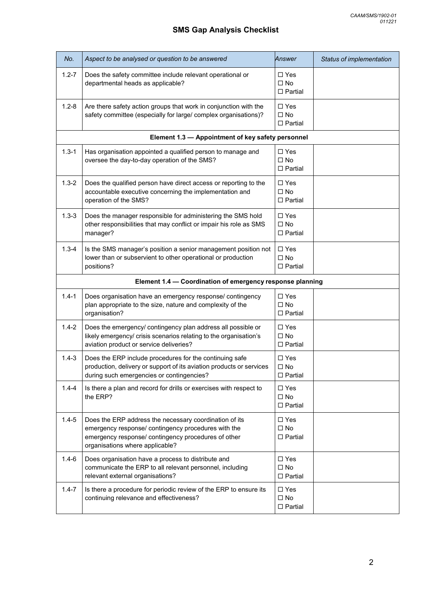| No.       | Aspect to be analysed or question to be answered                                                                                                                                                        | Answer                                             | Status of implementation |
|-----------|---------------------------------------------------------------------------------------------------------------------------------------------------------------------------------------------------------|----------------------------------------------------|--------------------------|
| $1.2 - 7$ | Does the safety committee include relevant operational or<br>departmental heads as applicable?                                                                                                          | $\square$ Yes<br>$\square$ No<br>$\square$ Partial |                          |
| $1.2 - 8$ | Are there safety action groups that work in conjunction with the<br>safety committee (especially for large/ complex organisations)?                                                                     | $\Box$ Yes<br>$\square$ No<br>$\Box$ Partial       |                          |
|           | Element 1.3 - Appointment of key safety personnel                                                                                                                                                       |                                                    |                          |
| $1.3 - 1$ | Has organisation appointed a qualified person to manage and<br>oversee the day-to-day operation of the SMS?                                                                                             | $\Box$ Yes<br>$\square$ No<br>$\square$ Partial    |                          |
| $1.3 - 2$ | Does the qualified person have direct access or reporting to the<br>accountable executive concerning the implementation and<br>operation of the SMS?                                                    | $\Box$ Yes<br>$\square$ No<br>$\Box$ Partial       |                          |
| $1.3 - 3$ | Does the manager responsible for administering the SMS hold<br>other responsibilities that may conflict or impair his role as SMS<br>manager?                                                           | $\Box$ Yes<br>$\square$ No<br>$\square$ Partial    |                          |
| $1.3 - 4$ | Is the SMS manager's position a senior management position not<br>lower than or subservient to other operational or production<br>positions?                                                            | $\Box$ Yes<br>$\square$ No<br>$\Box$ Partial       |                          |
|           | Element 1.4 - Coordination of emergency response planning                                                                                                                                               |                                                    |                          |
| $1.4 - 1$ | Does organisation have an emergency response/ contingency<br>plan appropriate to the size, nature and complexity of the<br>organisation?                                                                | $\Box$ Yes<br>$\square$ No<br>$\Box$ Partial       |                          |
| $1.4 - 2$ | Does the emergency/ contingency plan address all possible or<br>likely emergency/ crisis scenarios relating to the organisation's<br>aviation product or service deliveries?                            | $\Box$ Yes<br>$\Box$ No<br>$\square$ Partial       |                          |
| $1.4 - 3$ | Does the ERP include procedures for the continuing safe<br>production, delivery or support of its aviation products or services<br>during such emergencies or contingencies?                            | $\Box$ Yes<br>$\square$ No<br>$\Box$ Partial       |                          |
| $1.4 - 4$ | Is there a plan and record for drills or exercises with respect to<br>the ERP?                                                                                                                          | $\Box$ Yes<br>$\square$ No<br>$\square$ Partial    |                          |
| $1.4 - 5$ | Does the ERP address the necessary coordination of its<br>emergency response/ contingency procedures with the<br>emergency response/ contingency procedures of other<br>organisations where applicable? | $\Box$ Yes<br>$\square$ No<br>$\Box$ Partial       |                          |
| $1.4 - 6$ | Does organisation have a process to distribute and<br>communicate the ERP to all relevant personnel, including<br>relevant external organisations?                                                      | $\Box$ Yes<br>$\square$ No<br>$\square$ Partial    |                          |
| $1.4 - 7$ | Is there a procedure for periodic review of the ERP to ensure its<br>continuing relevance and effectiveness?                                                                                            | $\Box$ Yes<br>$\square$ No<br>$\Box$ Partial       |                          |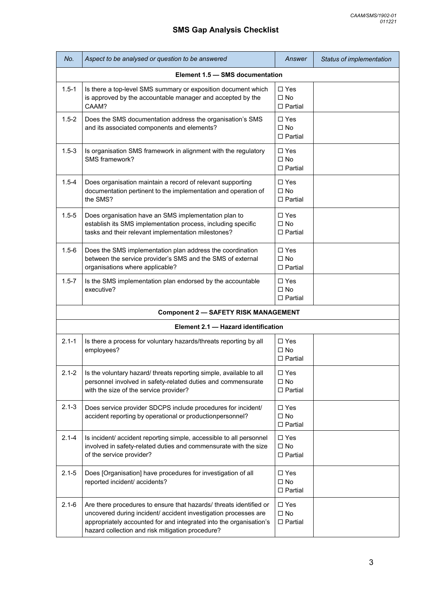| No.       | Aspect to be analysed or question to be answered                                                                                                                                                                                                                | Answer                                             | Status of implementation |  |
|-----------|-----------------------------------------------------------------------------------------------------------------------------------------------------------------------------------------------------------------------------------------------------------------|----------------------------------------------------|--------------------------|--|
|           | Element 1.5 - SMS documentation                                                                                                                                                                                                                                 |                                                    |                          |  |
| $1.5 - 1$ | Is there a top-level SMS summary or exposition document which<br>is approved by the accountable manager and accepted by the<br>CAAM?                                                                                                                            | $\Box$ Yes<br>$\Box$ No<br>$\Box$ Partial          |                          |  |
| $1.5 - 2$ | Does the SMS documentation address the organisation's SMS<br>and its associated components and elements?                                                                                                                                                        | $\Box$ Yes<br>$\Box$ No<br>$\Box$ Partial          |                          |  |
| $1.5 - 3$ | Is organisation SMS framework in alignment with the regulatory<br>SMS framework?                                                                                                                                                                                | $\square$ Yes<br>$\Box$ No<br>$\Box$ Partial       |                          |  |
| $1.5 - 4$ | Does organisation maintain a record of relevant supporting<br>documentation pertinent to the implementation and operation of<br>the SMS?                                                                                                                        | $\Box$ Yes<br>$\Box$ No<br>$\Box$ Partial          |                          |  |
| $1.5 - 5$ | Does organisation have an SMS implementation plan to<br>establish its SMS implementation process, including specific<br>tasks and their relevant implementation milestones?                                                                                     | $\Box$ Yes<br>$\Box$ No<br>$\Box$ Partial          |                          |  |
| $1.5 - 6$ | Does the SMS implementation plan address the coordination<br>between the service provider's SMS and the SMS of external<br>organisations where applicable?                                                                                                      | $\Box$ Yes<br>$\Box$ No<br>$\Box$ Partial          |                          |  |
| $1.5 - 7$ | Is the SMS implementation plan endorsed by the accountable<br>executive?                                                                                                                                                                                        | $\Box$ Yes<br>$\square$ No<br>$\Box$ Partial       |                          |  |
|           | <b>Component 2 - SAFETY RISK MANAGEMENT</b>                                                                                                                                                                                                                     |                                                    |                          |  |
|           | Element 2.1 - Hazard identification                                                                                                                                                                                                                             |                                                    |                          |  |
| $2.1 - 1$ | Is there a process for voluntary hazards/threats reporting by all<br>employees?                                                                                                                                                                                 | $\Box$ Yes<br>$\square$ No<br>$\Box$ Partial       |                          |  |
| $2.1 - 2$ | Is the voluntary hazard/ threats reporting simple, available to all<br>personnel involved in safety-related duties and commensurate<br>with the size of the service provider?                                                                                   | $\Box$ Yes<br>$\square$ No<br>$\Box$ Partial       |                          |  |
| $2.1 - 3$ | Does service provider SDCPS include procedures for incident/<br>accident reporting by operational or productionpersonnel?                                                                                                                                       | $\Box$ Yes<br>$\square$ No<br>$\Box$ Partial       |                          |  |
| $2.1 - 4$ | Is incident/accident reporting simple, accessible to all personnel<br>involved in safety-related duties and commensurate with the size<br>of the service provider?                                                                                              | $\square$ Yes<br>$\square$ No<br>$\Box$ Partial    |                          |  |
| $2.1 - 5$ | Does [Organisation] have procedures for investigation of all<br>reported incident/ accidents?                                                                                                                                                                   | $\Box$ Yes<br>$\square$ No<br>$\Box$ Partial       |                          |  |
| $2.1 - 6$ | Are there procedures to ensure that hazards/ threats identified or<br>uncovered during incident/ accident investigation processes are<br>appropriately accounted for and integrated into the organisation's<br>hazard collection and risk mitigation procedure? | $\square$ Yes<br>$\square$ No<br>$\square$ Partial |                          |  |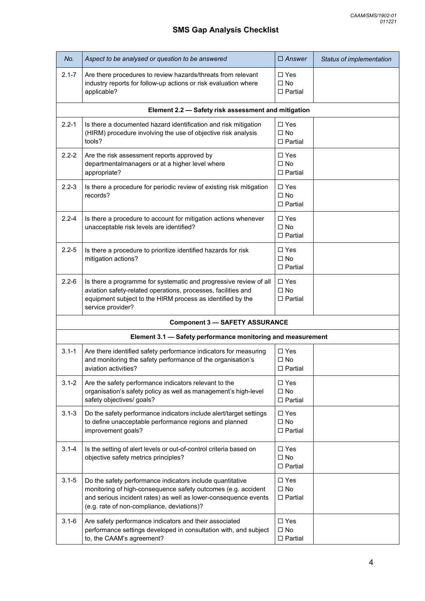| No.       | Aspect to be analysed or question to be answered                                                                                                                                                                                            | $\Box$ Answer                                      | Status of implementation |
|-----------|---------------------------------------------------------------------------------------------------------------------------------------------------------------------------------------------------------------------------------------------|----------------------------------------------------|--------------------------|
| $2.1 - 7$ | Are there procedures to review hazards/threats from relevant<br>industry reports for follow-up actions or risk evaluation where<br>applicable?                                                                                              | $\Box$ Yes<br>$\square$ No<br>$\Box$ Partial       |                          |
|           | Element 2.2 - Safety risk assessment and mitigation                                                                                                                                                                                         |                                                    |                          |
| $2.2 - 1$ | Is there a documented hazard identification and risk mitigation<br>(HIRM) procedure involving the use of objective risk analysis<br>tools?                                                                                                  | $\square$ Yes<br>$\Box$ No<br>$\Box$ Partial       |                          |
| $2.2 - 2$ | Are the risk assessment reports approved by<br>departmentalmanagers or at a higher level where<br>appropriate?                                                                                                                              | $\Box$ Yes<br>$\square$ No<br>$\Box$ Partial       |                          |
| $2.2 - 3$ | Is there a procedure for periodic review of existing risk mitigation<br>records?                                                                                                                                                            | $\Box$ Yes<br>$\square$ No<br>$\Box$ Partial       |                          |
| $2.2 - 4$ | Is there a procedure to account for mitigation actions whenever<br>unacceptable risk levels are identified?                                                                                                                                 | $\Box$ Yes<br>$\square$ No<br>$\Box$ Partial       |                          |
| $2.2 - 5$ | Is there a procedure to prioritize identified hazards for risk<br>mitigation actions?                                                                                                                                                       | $\Box$ Yes<br>$\square$ No<br>$\square$ Partial    |                          |
| $2.2 - 6$ | Is there a programme for systematic and progressive review of all<br>aviation safety-related operations, processes, facilities and<br>equipment subject to the HIRM process as identified by the<br>service provider?                       | $\Box$ Yes<br>$\square$ No<br>$\Box$ Partial       |                          |
|           | <b>Component 3 - SAFETY ASSURANCE</b>                                                                                                                                                                                                       |                                                    |                          |
|           | Element 3.1 - Safety performance monitoring and measurement                                                                                                                                                                                 |                                                    |                          |
| $3.1 - 1$ | Are there identified safety performance indicators for measuring<br>and monitoring the safety performance of the organisation's<br>aviation activities?                                                                                     | $\Box$ Yes<br>$\square$ No<br>$\Box$ Partial       |                          |
| $3.1 - 2$ | Are the safety performance indicators relevant to the<br>organisation's safety policy as well as management's high-level<br>safety objectives/ goals?                                                                                       | $\Box$ Yes<br>$\square$ No<br>$\square$ Partial    |                          |
| $3.1 - 3$ | Do the safety performance indicators include alert/target settings<br>to define unacceptable performance regions and planned<br>improvement goals?                                                                                          | $\Box$ Yes<br>$\square$ No<br>$\Box$ Partial       |                          |
| $3.1 - 4$ | Is the setting of alert levels or out-of-control criteria based on<br>objective safety metrics principles?                                                                                                                                  | $\Box$ Yes<br>$\square$ No<br>$\Box$ Partial       |                          |
| $3.1 - 5$ | Do the safety performance indicators include quantitative<br>monitoring of high-consequence safety outcomes (e.g. accident<br>and serious incident rates) as well as lower-consequence events<br>(e.g. rate of non-compliance, deviations)? | $\square$ Yes<br>$\square$ No<br>$\Box$ Partial    |                          |
| $3.1 - 6$ | Are safety performance indicators and their associated<br>performance settings developed in consultation with, and subject<br>to, the CAAM's agreement?                                                                                     | $\square$ Yes<br>$\square$ No<br>$\square$ Partial |                          |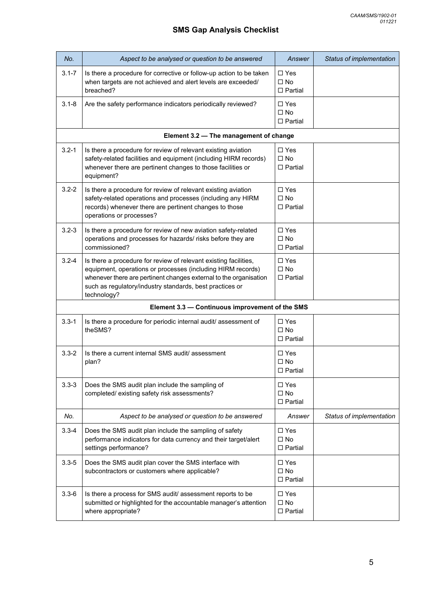| No.       | Aspect to be analysed or question to be answered                                                                                                                                                                                                                                | Answer                                             | Status of implementation |  |
|-----------|---------------------------------------------------------------------------------------------------------------------------------------------------------------------------------------------------------------------------------------------------------------------------------|----------------------------------------------------|--------------------------|--|
| $3.1 - 7$ | Is there a procedure for corrective or follow-up action to be taken<br>when targets are not achieved and alert levels are exceeded/<br>breached?                                                                                                                                | $\square$ Yes<br>$\Box$ No<br>$\Box$ Partial       |                          |  |
| $3.1 - 8$ | Are the safety performance indicators periodically reviewed?                                                                                                                                                                                                                    | $\Box$ Yes<br>$\square$ No<br>$\Box$ Partial       |                          |  |
|           | Element 3.2 - The management of change                                                                                                                                                                                                                                          |                                                    |                          |  |
| $3.2 - 1$ | Is there a procedure for review of relevant existing aviation<br>safety-related facilities and equipment (including HIRM records)<br>whenever there are pertinent changes to those facilities or<br>equipment?                                                                  | $\Box$ Yes<br>$\Box$ No<br>$\Box$ Partial          |                          |  |
| $3.2 - 2$ | Is there a procedure for review of relevant existing aviation<br>safety-related operations and processes (including any HIRM<br>records) whenever there are pertinent changes to those<br>operations or processes?                                                              | $\square$ Yes<br>$\square$ No<br>$\Box$ Partial    |                          |  |
| $3.2 - 3$ | Is there a procedure for review of new aviation safety-related<br>operations and processes for hazards/ risks before they are<br>commissioned?                                                                                                                                  | $\square$ Yes<br>$\square$ No<br>$\Box$ Partial    |                          |  |
| $3.2 - 4$ | Is there a procedure for review of relevant existing facilities,<br>equipment, operations or processes (including HIRM records)<br>whenever there are pertinent changes external to the organisation<br>such as regulatory/industry standards, best practices or<br>technology? | $\Box$ Yes<br>$\square$ No<br>$\Box$ Partial       |                          |  |
|           | Element 3.3 - Continuous improvement of the SMS                                                                                                                                                                                                                                 |                                                    |                          |  |
| $3.3 - 1$ | Is there a procedure for periodic internal audit/ assessment of<br>theSMS?                                                                                                                                                                                                      | $\Box$ Yes<br>$\square$ No<br>$\Box$ Partial       |                          |  |
| $3.3 - 2$ | Is there a current internal SMS audit/assessment<br>plan?                                                                                                                                                                                                                       | $\Box$ Yes<br>$\square$ No<br>$\square$ Partial    |                          |  |
| $3.3 - 3$ | Does the SMS audit plan include the sampling of<br>completed/existing safety risk assessments?                                                                                                                                                                                  | $\square$ Yes<br>$\square$ No<br>$\square$ Partial |                          |  |
| No.       | Aspect to be analysed or question to be answered                                                                                                                                                                                                                                | Answer                                             | Status of implementation |  |
| $3.3 - 4$ | Does the SMS audit plan include the sampling of safety<br>performance indicators for data currency and their target/alert<br>settings performance?                                                                                                                              | $\square$ Yes<br>$\square$ No<br>$\square$ Partial |                          |  |
| $3.3 - 5$ | Does the SMS audit plan cover the SMS interface with<br>subcontractors or customers where applicable?                                                                                                                                                                           | $\Box$ Yes<br>$\square$ No<br>$\square$ Partial    |                          |  |
| $3.3 - 6$ | Is there a process for SMS audit/ assessment reports to be<br>submitted or highlighted for the accountable manager's attention<br>where appropriate?                                                                                                                            | $\Box$ Yes<br>$\square$ No<br>$\square$ Partial    |                          |  |